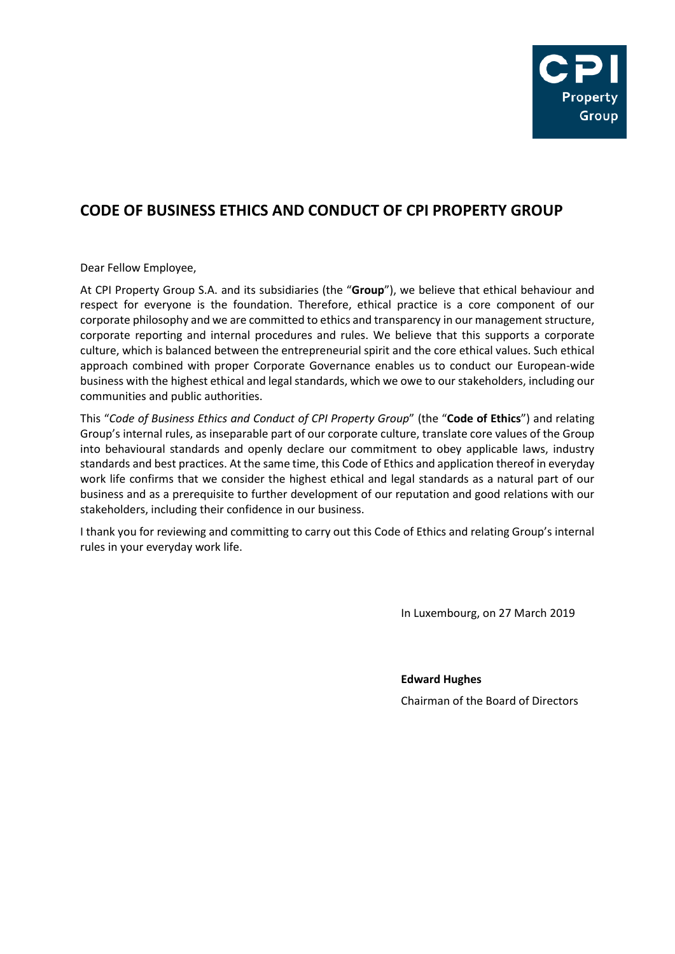

# **CODE OF BUSINESS ETHICS AND CONDUCT OF CPI PROPERTY GROUP**

Dear Fellow Employee,

At CPI Property Group S.A. and its subsidiaries (the "**Group**"), we believe that ethical behaviour and respect for everyone is the foundation. Therefore, ethical practice is a core component of our corporate philosophy and we are committed to ethics and transparency in our management structure, corporate reporting and internal procedures and rules. We believe that this supports a corporate culture, which is balanced between the entrepreneurial spirit and the core ethical values. Such ethical approach combined with proper Corporate Governance enables us to conduct our European-wide business with the highest ethical and legal standards, which we owe to our stakeholders, including our communities and public authorities.

This "*Code of Business Ethics and Conduct of CPI Property Group*" (the "**Code of Ethics**") and relating Group's internal rules, as inseparable part of our corporate culture, translate core values of the Group into behavioural standards and openly declare our commitment to obey applicable laws, industry standards and best practices. At the same time, this Code of Ethics and application thereof in everyday work life confirms that we consider the highest ethical and legal standards as a natural part of our business and as a prerequisite to further development of our reputation and good relations with our stakeholders, including their confidence in our business.

I thank you for reviewing and committing to carry out this Code of Ethics and relating Group's internal rules in your everyday work life.

In Luxembourg, on 27 March 2019

**Edward Hughes**

Chairman of the Board of Directors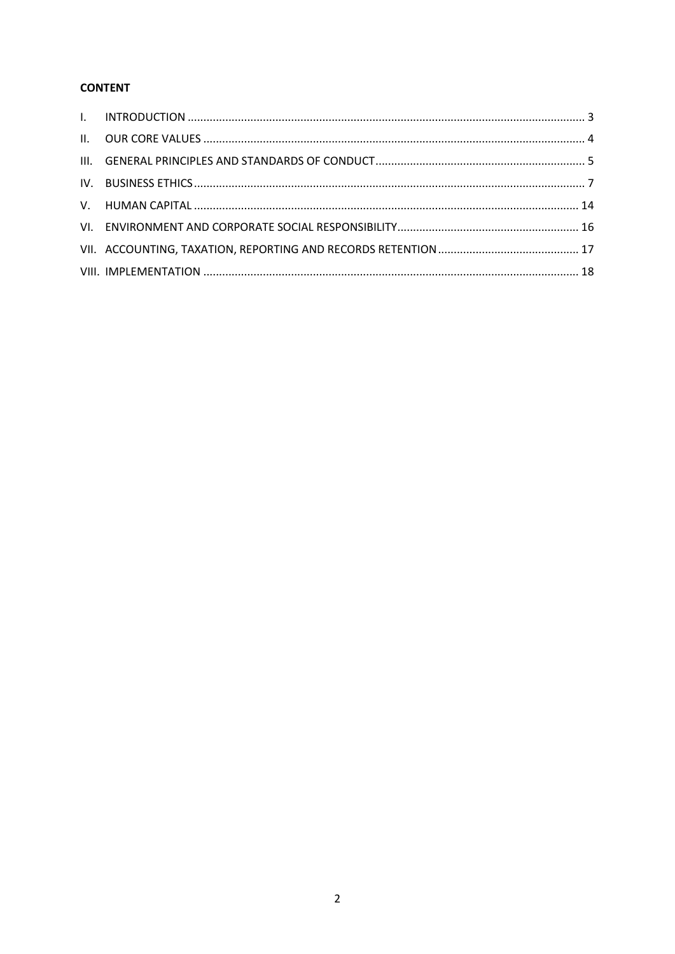# **CONTENT**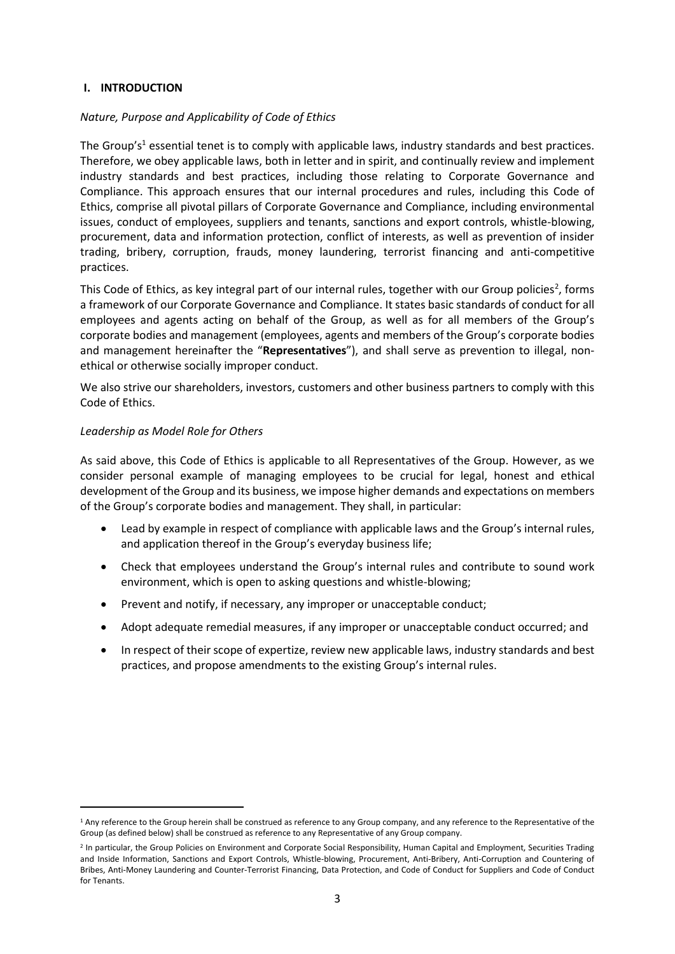### <span id="page-2-0"></span>**I. INTRODUCTION**

### *Nature, Purpose and Applicability of Code of Ethics*

The Group's<sup>1</sup> essential tenet is to comply with applicable laws, industry standards and best practices. Therefore, we obey applicable laws, both in letter and in spirit, and continually review and implement industry standards and best practices, including those relating to Corporate Governance and Compliance. This approach ensures that our internal procedures and rules, including this Code of Ethics, comprise all pivotal pillars of Corporate Governance and Compliance, including environmental issues, conduct of employees, suppliers and tenants, sanctions and export controls, whistle-blowing, procurement, data and information protection, conflict of interests, as well as prevention of insider trading, bribery, corruption, frauds, money laundering, terrorist financing and anti-competitive practices.

This Code of Ethics, as key integral part of our internal rules, together with our Group policies<sup>2</sup>, forms a framework of our Corporate Governance and Compliance. It states basic standards of conduct for all employees and agents acting on behalf of the Group, as well as for all members of the Group's corporate bodies and management (employees, agents and members of the Group's corporate bodies and management hereinafter the "**Representatives**"), and shall serve as prevention to illegal, nonethical or otherwise socially improper conduct.

We also strive our shareholders, investors, customers and other business partners to comply with this Code of Ethics.

### *Leadership as Model Role for Others*

1

As said above, this Code of Ethics is applicable to all Representatives of the Group. However, as we consider personal example of managing employees to be crucial for legal, honest and ethical development of the Group and its business, we impose higher demands and expectations on members of the Group's corporate bodies and management. They shall, in particular:

- Lead by example in respect of compliance with applicable laws and the Group's internal rules, and application thereof in the Group's everyday business life;
- Check that employees understand the Group's internal rules and contribute to sound work environment, which is open to asking questions and whistle-blowing;
- Prevent and notify, if necessary, any improper or unacceptable conduct;
- Adopt adequate remedial measures, if any improper or unacceptable conduct occurred; and
- In respect of their scope of expertize, review new applicable laws, industry standards and best practices, and propose amendments to the existing Group's internal rules.

<sup>&</sup>lt;sup>1</sup> Any reference to the Group herein shall be construed as reference to any Group company, and any reference to the Representative of the Group (as defined below) shall be construed as reference to any Representative of any Group company.

<sup>&</sup>lt;sup>2</sup> In particular, the Group Policies on Environment and Corporate Social Responsibility, Human Capital and Employment, Securities Trading and Inside Information, Sanctions and Export Controls, Whistle-blowing, Procurement, Anti-Bribery, Anti-Corruption and Countering of Bribes, Anti-Money Laundering and Counter-Terrorist Financing, Data Protection, and Code of Conduct for Suppliers and Code of Conduct for Tenants.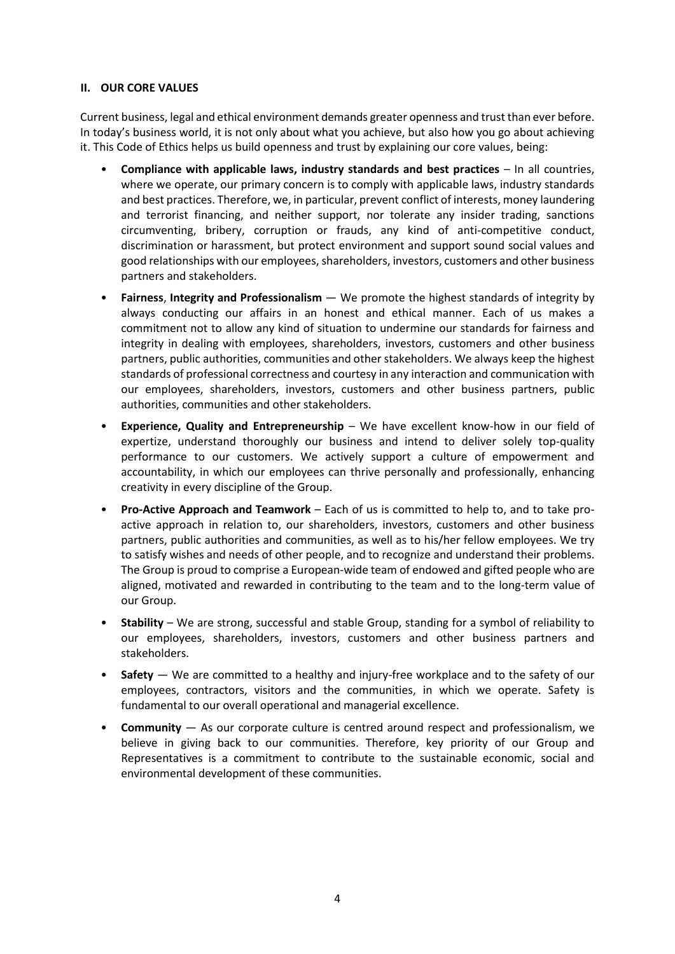### <span id="page-3-0"></span>**II. OUR CORE VALUES**

Current business, legal and ethical environment demands greater openness and trust than ever before. In today's business world, it is not only about what you achieve, but also how you go about achieving it. This Code of Ethics helps us build openness and trust by explaining our core values, being:

- **Compliance with applicable laws, industry standards and best practices** In all countries, where we operate, our primary concern is to comply with applicable laws, industry standards and best practices. Therefore, we, in particular, prevent conflict of interests, money laundering and terrorist financing, and neither support, nor tolerate any insider trading, sanctions circumventing, bribery, corruption or frauds, any kind of anti-competitive conduct, discrimination or harassment, but protect environment and support sound social values and good relationships with our employees, shareholders, investors, customers and other business partners and stakeholders.
- **Fairness**, **Integrity and Professionalism**  We promote the highest standards of integrity by always conducting our affairs in an honest and ethical manner. Each of us makes a commitment not to allow any kind of situation to undermine our standards for fairness and integrity in dealing with employees, shareholders, investors, customers and other business partners, public authorities, communities and other stakeholders. We always keep the highest standards of professional correctness and courtesy in any interaction and communication with our employees, shareholders, investors, customers and other business partners, public authorities, communities and other stakeholders.
- **Experience, Quality and Entrepreneurship** We have excellent know-how in our field of expertize, understand thoroughly our business and intend to deliver solely top-quality performance to our customers. We actively support a culture of empowerment and accountability, in which our employees can thrive personally and professionally, enhancing creativity in every discipline of the Group.
- **Pro-Active Approach and Teamwork** Each of us is committed to help to, and to take proactive approach in relation to, our shareholders, investors, customers and other business partners, public authorities and communities, as well as to his/her fellow employees. We try to satisfy wishes and needs of other people, and to recognize and understand their problems. The Group is proud to comprise a European-wide team of endowed and gifted people who are aligned, motivated and rewarded in contributing to the team and to the long-term value of our Group.
- **Stability** We are strong, successful and stable Group, standing for a symbol of reliability to our employees, shareholders, investors, customers and other business partners and stakeholders.
- **Safety** We are committed to a healthy and injury-free workplace and to the safety of our employees, contractors, visitors and the communities, in which we operate. Safety is fundamental to our overall operational and managerial excellence.
- **Community** As our corporate culture is centred around respect and professionalism, we believe in giving back to our communities. Therefore, key priority of our Group and Representatives is a commitment to contribute to the sustainable economic, social and environmental development of these communities.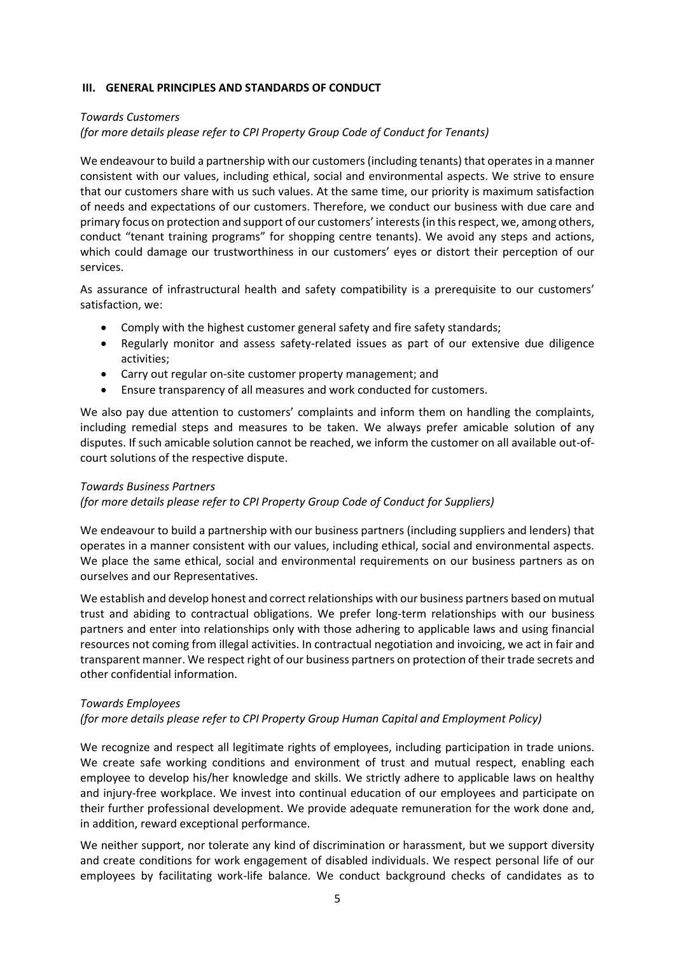### <span id="page-4-0"></span>**III. GENERAL PRINCIPLES AND STANDARDS OF CONDUCT**

#### *Towards Customers*

*(for more details please refer to CPI Property Group Code of Conduct for Tenants)*

We endeavour to build a partnership with our customers (including tenants) that operates in a manner consistent with our values, including ethical, social and environmental aspects. We strive to ensure that our customers share with us such values. At the same time, our priority is maximum satisfaction of needs and expectations of our customers. Therefore, we conduct our business with due care and primary focus on protection and support of our customers' interests (in this respect, we, among others, conduct "tenant training programs" for shopping centre tenants). We avoid any steps and actions, which could damage our trustworthiness in our customers' eyes or distort their perception of our services.

As assurance of infrastructural health and safety compatibility is a prerequisite to our customers' satisfaction, we:

- Comply with the highest customer general safety and fire safety standards;
- Regularly monitor and assess safety-related issues as part of our extensive due diligence activities;
- Carry out regular on-site customer property management; and
- Ensure transparency of all measures and work conducted for customers.

We also pay due attention to customers' complaints and inform them on handling the complaints, including remedial steps and measures to be taken. We always prefer amicable solution of any disputes. If such amicable solution cannot be reached, we inform the customer on all available out-ofcourt solutions of the respective dispute.

### *Towards Business Partners*

*(for more details please refer to CPI Property Group Code of Conduct for Suppliers)*

We endeavour to build a partnership with our business partners (including suppliers and lenders) that operates in a manner consistent with our values, including ethical, social and environmental aspects. We place the same ethical, social and environmental requirements on our business partners as on ourselves and our Representatives.

We establish and develop honest and correct relationships with our business partners based on mutual trust and abiding to contractual obligations. We prefer long-term relationships with our business partners and enter into relationships only with those adhering to applicable laws and using financial resources not coming from illegal activities. In contractual negotiation and invoicing, we act in fair and transparent manner. We respect right of our business partners on protection of their trade secrets and other confidential information.

### *Towards Employees*

### *(for more details please refer to CPI Property Group Human Capital and Employment Policy)*

We recognize and respect all legitimate rights of employees, including participation in trade unions. We create safe working conditions and environment of trust and mutual respect, enabling each employee to develop his/her knowledge and skills. We strictly adhere to applicable laws on healthy and injury-free workplace. We invest into continual education of our employees and participate on their further professional development. We provide adequate remuneration for the work done and, in addition, reward exceptional performance.

We neither support, nor tolerate any kind of discrimination or harassment, but we support diversity and create conditions for work engagement of disabled individuals. We respect personal life of our employees by facilitating work-life balance. We conduct background checks of candidates as to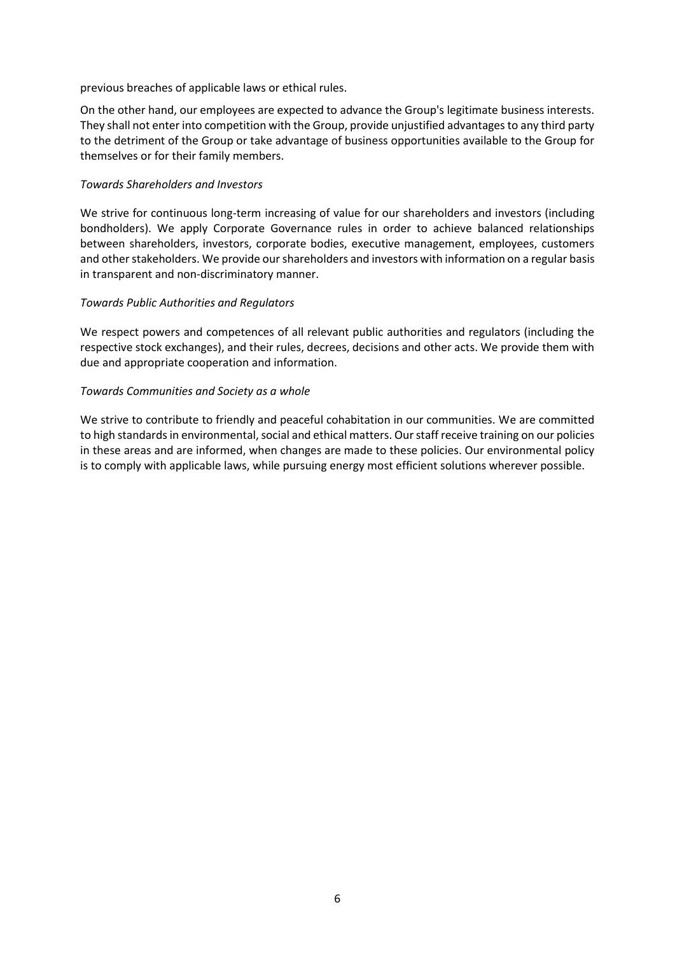previous breaches of applicable laws or ethical rules.

On the other hand, our employees are expected to advance the Group's legitimate business interests. They shall not enter into competition with the Group, provide unjustified advantages to any third party to the detriment of the Group or take advantage of business opportunities available to the Group for themselves or for their family members.

#### *Towards Shareholders and Investors*

We strive for continuous long-term increasing of value for our shareholders and investors (including bondholders). We apply Corporate Governance rules in order to achieve balanced relationships between shareholders, investors, corporate bodies, executive management, employees, customers and other stakeholders. We provide our shareholders and investors with information on a regular basis in transparent and non-discriminatory manner.

#### *Towards Public Authorities and Regulators*

We respect powers and competences of all relevant public authorities and regulators (including the respective stock exchanges), and their rules, decrees, decisions and other acts. We provide them with due and appropriate cooperation and information.

#### *Towards Communities and Society as a whole*

We strive to contribute to friendly and peaceful cohabitation in our communities. We are committed to high standards in environmental, social and ethical matters. Our staff receive training on our policies in these areas and are informed, when changes are made to these policies. Our environmental policy is to comply with applicable laws, while pursuing energy most efficient solutions wherever possible.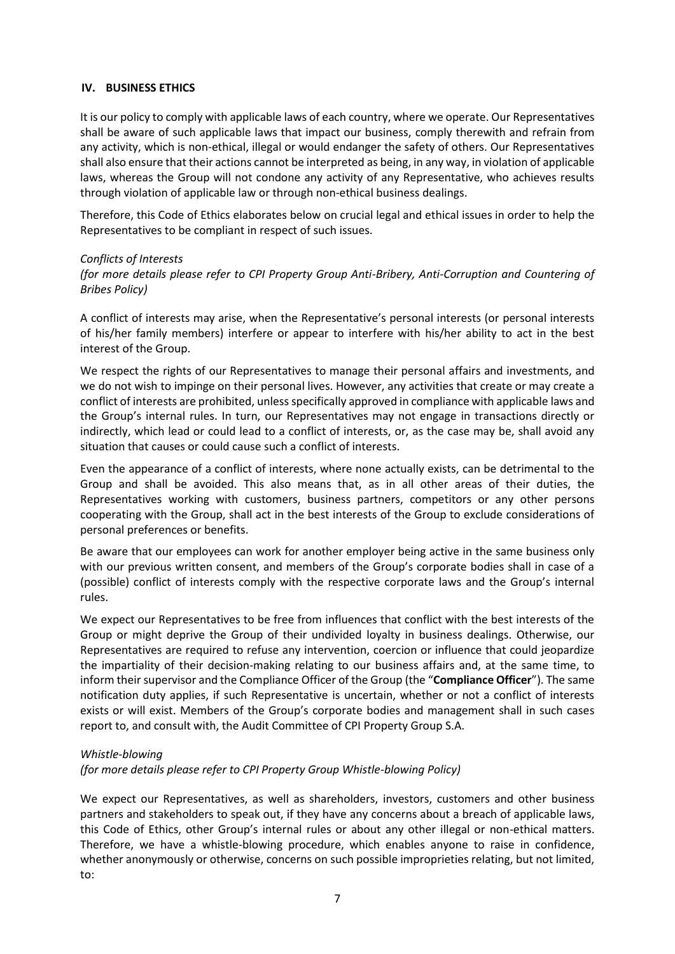### <span id="page-6-0"></span>**IV. BUSINESS ETHICS**

It is our policy to comply with applicable laws of each country, where we operate. Our Representatives shall be aware of such applicable laws that impact our business, comply therewith and refrain from any activity, which is non-ethical, illegal or would endanger the safety of others. Our Representatives shall also ensure that their actions cannot be interpreted as being, in any way, in violation of applicable laws, whereas the Group will not condone any activity of any Representative, who achieves results through violation of applicable law or through non-ethical business dealings.

Therefore, this Code of Ethics elaborates below on crucial legal and ethical issues in order to help the Representatives to be compliant in respect of such issues.

### *Conflicts of Interests*

*(for more details please refer to CPI Property Group Anti-Bribery, Anti-Corruption and Countering of Bribes Policy)*

A conflict of interests may arise, when the Representative's personal interests (or personal interests of his/her family members) interfere or appear to interfere with his/her ability to act in the best interest of the Group.

We respect the rights of our Representatives to manage their personal affairs and investments, and we do not wish to impinge on their personal lives. However, any activities that create or may create a conflict of interests are prohibited, unless specifically approved in compliance with applicable laws and the Group's internal rules. In turn, our Representatives may not engage in transactions directly or indirectly, which lead or could lead to a conflict of interests, or, as the case may be, shall avoid any situation that causes or could cause such a conflict of interests.

Even the appearance of a conflict of interests, where none actually exists, can be detrimental to the Group and shall be avoided. This also means that, as in all other areas of their duties, the Representatives working with customers, business partners, competitors or any other persons cooperating with the Group, shall act in the best interests of the Group to exclude considerations of personal preferences or benefits.

Be aware that our employees can work for another employer being active in the same business only with our previous written consent, and members of the Group's corporate bodies shall in case of a (possible) conflict of interests comply with the respective corporate laws and the Group's internal rules.

We expect our Representatives to be free from influences that conflict with the best interests of the Group or might deprive the Group of their undivided loyalty in business dealings. Otherwise, our Representatives are required to refuse any intervention, coercion or influence that could jeopardize the impartiality of their decision-making relating to our business affairs and, at the same time, to inform their supervisor and the Compliance Officer of the Group (the "**Compliance Officer**"). The same notification duty applies, if such Representative is uncertain, whether or not a conflict of interests exists or will exist. Members of the Group's corporate bodies and management shall in such cases report to, and consult with, the Audit Committee of CPI Property Group S.A.

### *Whistle-blowing*

*(for more details please refer to CPI Property Group Whistle-blowing Policy)*

We expect our Representatives, as well as shareholders, investors, customers and other business partners and stakeholders to speak out, if they have any concerns about a breach of applicable laws, this Code of Ethics, other Group's internal rules or about any other illegal or non-ethical matters. Therefore, we have a whistle-blowing procedure, which enables anyone to raise in confidence, whether anonymously or otherwise, concerns on such possible improprieties relating, but not limited, to: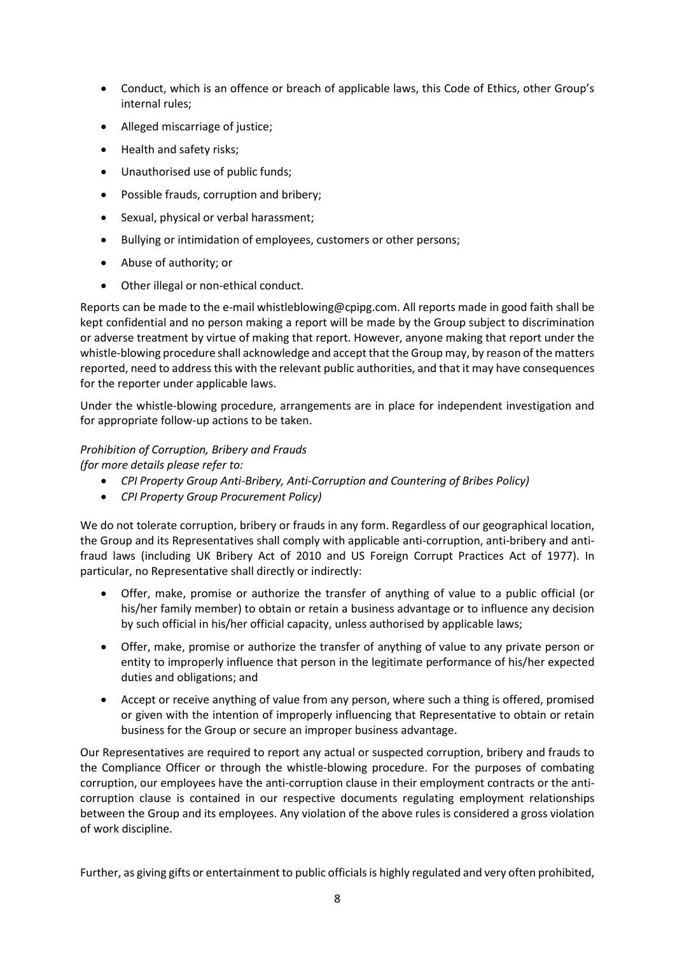- Conduct, which is an offence or breach of applicable laws, this Code of Ethics, other Group's internal rules;
- Alleged miscarriage of justice;
- Health and safety risks;
- Unauthorised use of public funds;
- Possible frauds, corruption and bribery;
- Sexual, physical or verbal harassment;
- Bullying or intimidation of employees, customers or other persons;
- Abuse of authority; or
- Other illegal or non-ethical conduct.

Reports can be made to the e-mail [whistleblowing@cpipg.com.](mailto:whistleblowing@cpipg.com) All reports made in good faith shall be kept confidential and no person making a report will be made by the Group subject to discrimination or adverse treatment by virtue of making that report. However, anyone making that report under the whistle-blowing procedure shall acknowledge and accept that the Group may, by reason of the matters reported, need to address this with the relevant public authorities, and that it may have consequences for the reporter under applicable laws.

Under the whistle-blowing procedure, arrangements are in place for independent investigation and for appropriate follow-up actions to be taken.

# *Prohibition of Corruption, Bribery and Frauds*

*(for more details please refer to:*

- *CPI Property Group Anti-Bribery, Anti-Corruption and Countering of Bribes Policy)*
- *CPI Property Group Procurement Policy)*

We do not tolerate corruption, bribery or frauds in any form. Regardless of our geographical location, the Group and its Representatives shall comply with applicable anti-corruption, anti-bribery and antifraud laws (including UK Bribery Act of 2010 and US Foreign Corrupt Practices Act of 1977). In particular, no Representative shall directly or indirectly:

- Offer, make, promise or authorize the transfer of anything of value to a public official (or his/her family member) to obtain or retain a business advantage or to influence any decision by such official in his/her official capacity, unless authorised by applicable laws;
- Offer, make, promise or authorize the transfer of anything of value to any private person or entity to improperly influence that person in the legitimate performance of his/her expected duties and obligations; and
- Accept or receive anything of value from any person, where such a thing is offered, promised or given with the intention of improperly influencing that Representative to obtain or retain business for the Group or secure an improper business advantage.

Our Representatives are required to report any actual or suspected corruption, bribery and frauds to the Compliance Officer or through the whistle-blowing procedure. For the purposes of combating corruption, our employees have the anti-corruption clause in their employment contracts or the anticorruption clause is contained in our respective documents regulating employment relationships between the Group and its employees. Any violation of the above rules is considered a gross violation of work discipline.

Further, as giving gifts or entertainment to public officials is highly regulated and very often prohibited,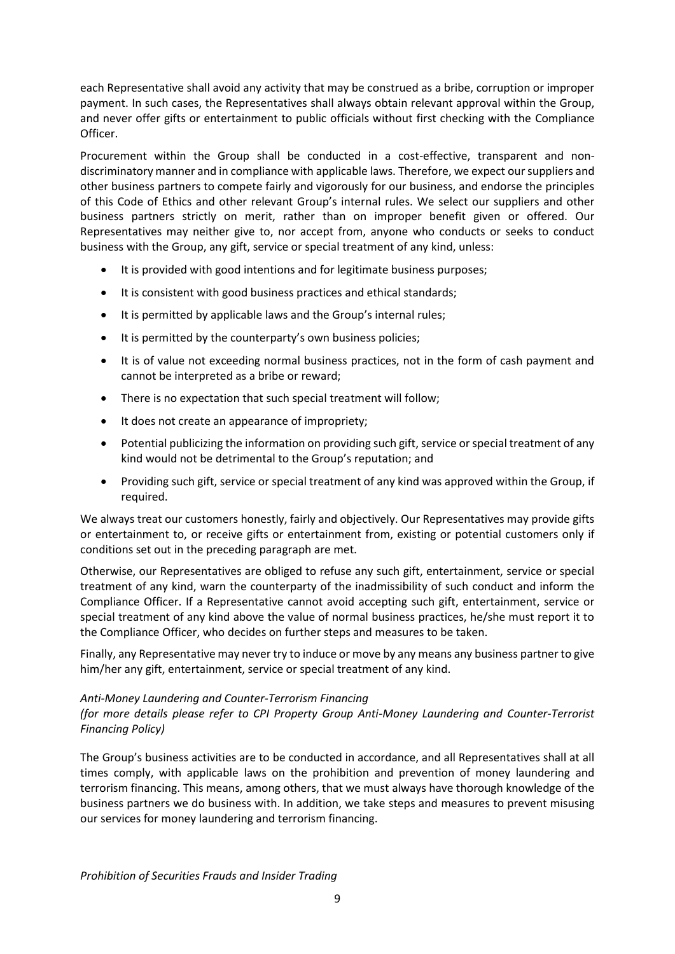each Representative shall avoid any activity that may be construed as a bribe, corruption or improper payment. In such cases, the Representatives shall always obtain relevant approval within the Group, and never offer gifts or entertainment to public officials without first checking with the Compliance Officer.

Procurement within the Group shall be conducted in a cost-effective, transparent and nondiscriminatory manner and in compliance with applicable laws. Therefore, we expect our suppliers and other business partners to compete fairly and vigorously for our business, and endorse the principles of this Code of Ethics and other relevant Group's internal rules. We select our suppliers and other business partners strictly on merit, rather than on improper benefit given or offered. Our Representatives may neither give to, nor accept from, anyone who conducts or seeks to conduct business with the Group, any gift, service or special treatment of any kind, unless:

- It is provided with good intentions and for legitimate business purposes;
- It is consistent with good business practices and ethical standards;
- It is permitted by applicable laws and the Group's internal rules;
- It is permitted by the counterparty's own business policies;
- It is of value not exceeding normal business practices, not in the form of cash payment and cannot be interpreted as a bribe or reward;
- There is no expectation that such special treatment will follow;
- It does not create an appearance of impropriety;
- Potential publicizing the information on providing such gift, service or special treatment of any kind would not be detrimental to the Group's reputation; and
- Providing such gift, service or special treatment of any kind was approved within the Group, if required.

We always treat our customers honestly, fairly and objectively. Our Representatives may provide gifts or entertainment to, or receive gifts or entertainment from, existing or potential customers only if conditions set out in the preceding paragraph are met.

Otherwise, our Representatives are obliged to refuse any such gift, entertainment, service or special treatment of any kind, warn the counterparty of the inadmissibility of such conduct and inform the Compliance Officer. If a Representative cannot avoid accepting such gift, entertainment, service or special treatment of any kind above the value of normal business practices, he/she must report it to the Compliance Officer, who decides on further steps and measures to be taken.

Finally, any Representative may never try to induce or move by any means any business partner to give him/her any gift, entertainment, service or special treatment of any kind.

### *Anti-Money Laundering and Counter-Terrorism Financing*

*(for more details please refer to CPI Property Group Anti-Money Laundering and Counter-Terrorist Financing Policy)*

The Group's business activities are to be conducted in accordance, and all Representatives shall at all times comply, with applicable laws on the prohibition and prevention of money laundering and terrorism financing. This means, among others, that we must always have thorough knowledge of the business partners we do business with. In addition, we take steps and measures to prevent misusing our services for money laundering and terrorism financing.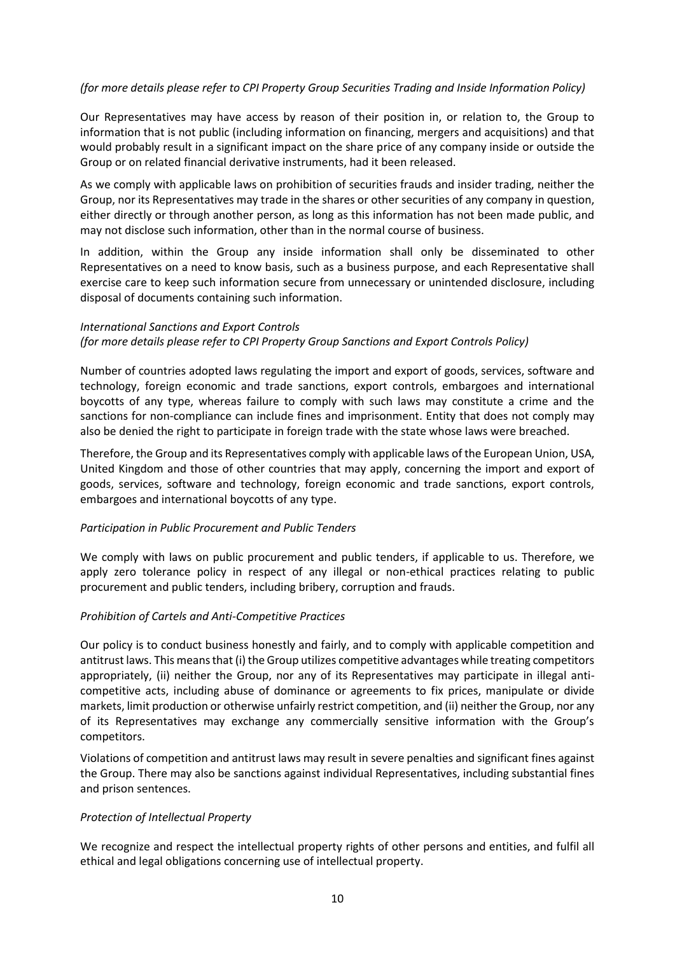### *(for more details please refer to CPI Property Group Securities Trading and Inside Information Policy)*

Our Representatives may have access by reason of their position in, or relation to, the Group to information that is not public (including information on financing, mergers and acquisitions) and that would probably result in a significant impact on the share price of any company inside or outside the Group or on related financial derivative instruments, had it been released.

As we comply with applicable laws on prohibition of securities frauds and insider trading, neither the Group, nor its Representatives may trade in the shares or other securities of any company in question, either directly or through another person, as long as this information has not been made public, and may not disclose such information, other than in the normal course of business.

In addition, within the Group any inside information shall only be disseminated to other Representatives on a need to know basis, such as a business purpose, and each Representative shall exercise care to keep such information secure from unnecessary or unintended disclosure, including disposal of documents containing such information.

#### *International Sanctions and Export Controls*

### *(for more details please refer to CPI Property Group Sanctions and Export Controls Policy)*

Number of countries adopted laws regulating the import and export of goods, services, software and technology, foreign economic and trade sanctions, export controls, embargoes and international boycotts of any type, whereas failure to comply with such laws may constitute a crime and the sanctions for non-compliance can include fines and imprisonment. Entity that does not comply may also be denied the right to participate in foreign trade with the state whose laws were breached.

Therefore, the Group and its Representatives comply with applicable laws of the European Union, USA, United Kingdom and those of other countries that may apply, concerning the import and export of goods, services, software and technology, foreign economic and trade sanctions, export controls, embargoes and international boycotts of any type.

### *Participation in Public Procurement and Public Tenders*

We comply with laws on public procurement and public tenders, if applicable to us. Therefore, we apply zero tolerance policy in respect of any illegal or non-ethical practices relating to public procurement and public tenders, including bribery, corruption and frauds.

### *Prohibition of Cartels and Anti-Competitive Practices*

Our policy is to conduct business honestly and fairly, and to comply with applicable competition and antitrust laws. This means that (i) the Group utilizes competitive advantages while treating competitors appropriately, (ii) neither the Group, nor any of its Representatives may participate in illegal anticompetitive acts, including abuse of dominance or agreements to fix prices, manipulate or divide markets, limit production or otherwise unfairly restrict competition, and (ii) neither the Group, nor any of its Representatives may exchange any commercially sensitive information with the Group's competitors.

Violations of competition and antitrust laws may result in severe penalties and significant fines against the Group. There may also be sanctions against individual Representatives, including substantial fines and prison sentences.

### *Protection of Intellectual Property*

We recognize and respect the intellectual property rights of other persons and entities, and fulfil all ethical and legal obligations concerning use of intellectual property.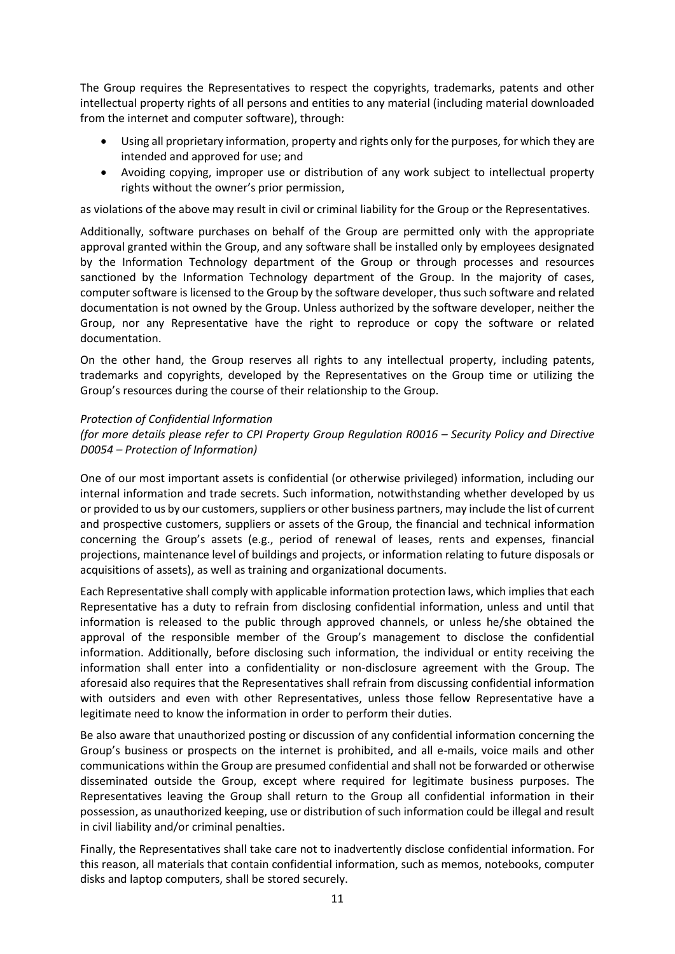The Group requires the Representatives to respect the copyrights, trademarks, patents and other intellectual property rights of all persons and entities to any material (including material downloaded from the internet and computer software), through:

- Using all proprietary information, property and rights only for the purposes, for which they are intended and approved for use; and
- Avoiding copying, improper use or distribution of any work subject to intellectual property rights without the owner's prior permission,

as violations of the above may result in civil or criminal liability for the Group or the Representatives.

Additionally, software purchases on behalf of the Group are permitted only with the appropriate approval granted within the Group, and any software shall be installed only by employees designated by the Information Technology department of the Group or through processes and resources sanctioned by the Information Technology department of the Group. In the majority of cases, computer software is licensed to the Group by the software developer, thus such software and related documentation is not owned by the Group. Unless authorized by the software developer, neither the Group, nor any Representative have the right to reproduce or copy the software or related documentation.

On the other hand, the Group reserves all rights to any intellectual property, including patents, trademarks and copyrights, developed by the Representatives on the Group time or utilizing the Group's resources during the course of their relationship to the Group.

### *Protection of Confidential Information*

*(for more details please refer to CPI Property Group Regulation R0016 – Security Policy and Directive D0054 – Protection of Information)*

One of our most important assets is confidential (or otherwise privileged) information, including our internal information and trade secrets. Such information, notwithstanding whether developed by us or provided to us by our customers, suppliers or other business partners, may include the list of current and prospective customers, suppliers or assets of the Group, the financial and technical information concerning the Group's assets (e.g., period of renewal of leases, rents and expenses, financial projections, maintenance level of buildings and projects, or information relating to future disposals or acquisitions of assets), as well as training and organizational documents.

Each Representative shall comply with applicable information protection laws, which implies that each Representative has a duty to refrain from disclosing confidential information, unless and until that information is released to the public through approved channels, or unless he/she obtained the approval of the responsible member of the Group's management to disclose the confidential information. Additionally, before disclosing such information, the individual or entity receiving the information shall enter into a confidentiality or non-disclosure agreement with the Group. The aforesaid also requires that the Representatives shall refrain from discussing confidential information with outsiders and even with other Representatives, unless those fellow Representative have a legitimate need to know the information in order to perform their duties.

Be also aware that unauthorized posting or discussion of any confidential information concerning the Group's business or prospects on the internet is prohibited, and all e-mails, voice mails and other communications within the Group are presumed confidential and shall not be forwarded or otherwise disseminated outside the Group, except where required for legitimate business purposes. The Representatives leaving the Group shall return to the Group all confidential information in their possession, as unauthorized keeping, use or distribution of such information could be illegal and result in civil liability and/or criminal penalties.

Finally, the Representatives shall take care not to inadvertently disclose confidential information. For this reason, all materials that contain confidential information, such as memos, notebooks, computer disks and laptop computers, shall be stored securely.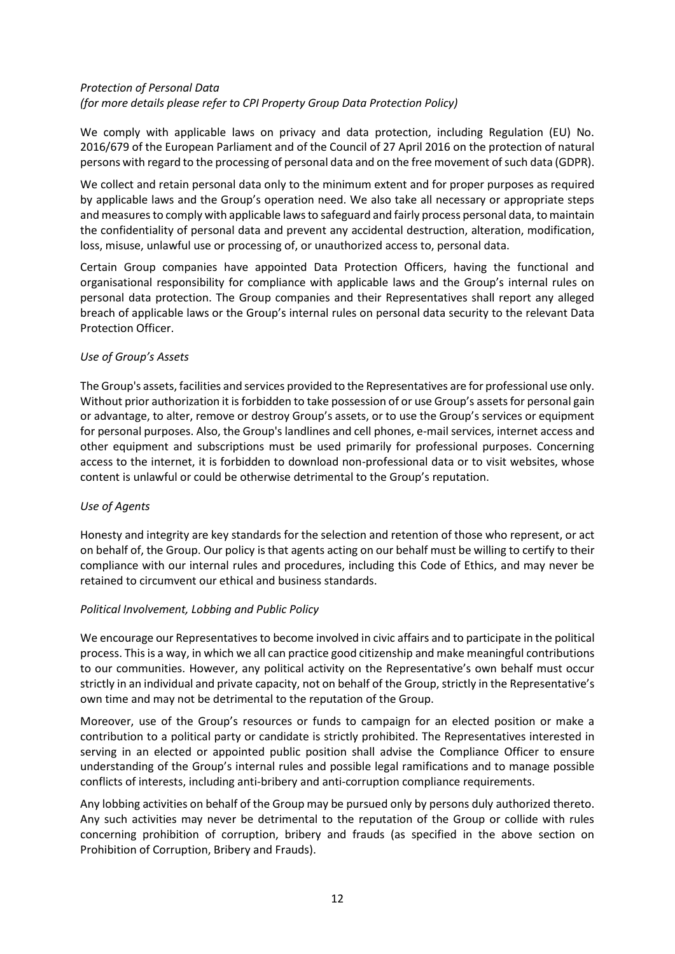### *Protection of Personal Data (for more details please refer to CPI Property Group Data Protection Policy)*

We comply with applicable laws on privacy and data protection, including Regulation (EU) No. 2016/679 of the European Parliament and of the Council of 27 April 2016 on the protection of natural persons with regard to the processing of personal data and on the free movement of such data (GDPR).

We collect and retain personal data only to the minimum extent and for proper purposes as required by applicable laws and the Group's operation need. We also take all necessary or appropriate steps and measures to comply with applicable laws to safeguard and fairly process personal data, to maintain the confidentiality of personal data and prevent any accidental destruction, alteration, modification, loss, misuse, unlawful use or processing of, or unauthorized access to, personal data.

Certain Group companies have appointed Data Protection Officers, having the functional and organisational responsibility for compliance with applicable laws and the Group's internal rules on personal data protection. The Group companies and their Representatives shall report any alleged breach of applicable laws or the Group's internal rules on personal data security to the relevant Data Protection Officer.

### *Use of Group's Assets*

The Group's assets, facilities and services provided to the Representatives are for professional use only. Without prior authorization it is forbidden to take possession of or use Group's assets for personal gain or advantage, to alter, remove or destroy Group's assets, or to use the Group's services or equipment for personal purposes. Also, the Group's landlines and cell phones, e-mail services, internet access and other equipment and subscriptions must be used primarily for professional purposes. Concerning access to the internet, it is forbidden to download non-professional data or to visit websites, whose content is unlawful or could be otherwise detrimental to the Group's reputation.

### *Use of Agents*

Honesty and integrity are key standards for the selection and retention of those who represent, or act on behalf of, the Group. Our policy is that agents acting on our behalf must be willing to certify to their compliance with our internal rules and procedures, including this Code of Ethics, and may never be retained to circumvent our ethical and business standards.

### *Political Involvement, Lobbing and Public Policy*

We encourage our Representatives to become involved in civic affairs and to participate in the political process. This is a way, in which we all can practice good citizenship and make meaningful contributions to our communities. However, any political activity on the Representative's own behalf must occur strictly in an individual and private capacity, not on behalf of the Group, strictly in the Representative's own time and may not be detrimental to the reputation of the Group.

Moreover, use of the Group's resources or funds to campaign for an elected position or make a contribution to a political party or candidate is strictly prohibited. The Representatives interested in serving in an elected or appointed public position shall advise the Compliance Officer to ensure understanding of the Group's internal rules and possible legal ramifications and to manage possible conflicts of interests, including anti-bribery and anti-corruption compliance requirements.

Any lobbing activities on behalf of the Group may be pursued only by persons duly authorized thereto. Any such activities may never be detrimental to the reputation of the Group or collide with rules concerning prohibition of corruption, bribery and frauds (as specified in the above section on Prohibition of Corruption, Bribery and Frauds).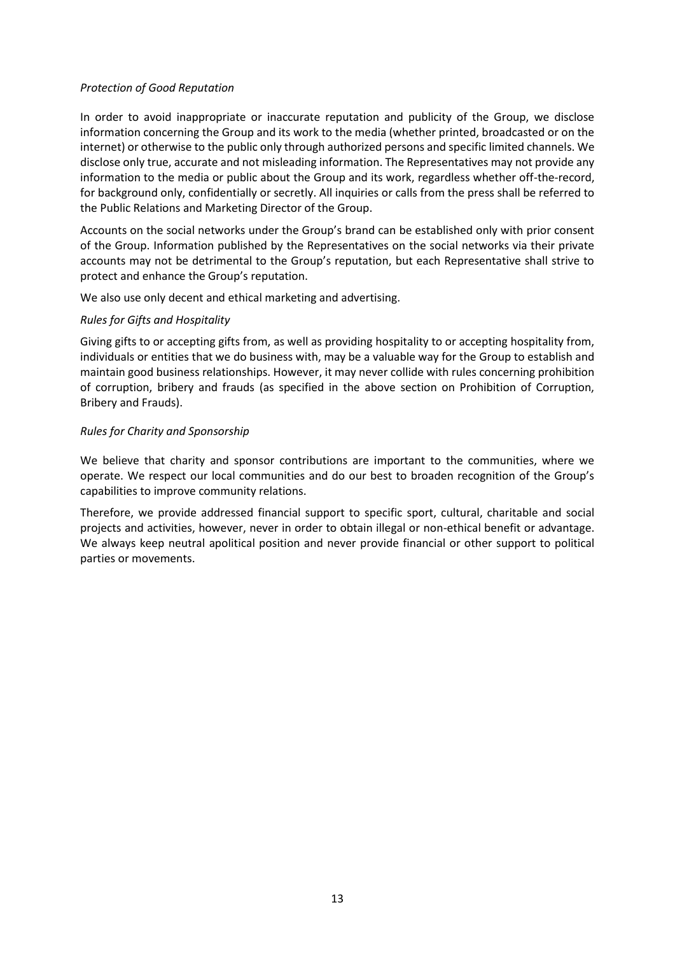### *Protection of Good Reputation*

In order to avoid inappropriate or inaccurate reputation and publicity of the Group, we disclose information concerning the Group and its work to the media (whether printed, broadcasted or on the internet) or otherwise to the public only through authorized persons and specific limited channels. We disclose only true, accurate and not misleading information. The Representatives may not provide any information to the media or public about the Group and its work, regardless whether off-the-record, for background only, confidentially or secretly. All inquiries or calls from the press shall be referred to the Public Relations and Marketing Director of the Group.

Accounts on the social networks under the Group's brand can be established only with prior consent of the Group. Information published by the Representatives on the social networks via their private accounts may not be detrimental to the Group's reputation, but each Representative shall strive to protect and enhance the Group's reputation.

We also use only decent and ethical marketing and advertising.

### *Rules for Gifts and Hospitality*

Giving gifts to or accepting gifts from, as well as providing hospitality to or accepting hospitality from, individuals or entities that we do business with, may be a valuable way for the Group to establish and maintain good business relationships. However, it may never collide with rules concerning prohibition of corruption, bribery and frauds (as specified in the above section on Prohibition of Corruption, Bribery and Frauds).

### *Rules for Charity and Sponsorship*

We believe that charity and sponsor contributions are important to the communities, where we operate. We respect our local communities and do our best to broaden recognition of the Group's capabilities to improve community relations.

Therefore, we provide addressed financial support to specific sport, cultural, charitable and social projects and activities, however, never in order to obtain illegal or non-ethical benefit or advantage. We always keep neutral apolitical position and never provide financial or other support to political parties or movements.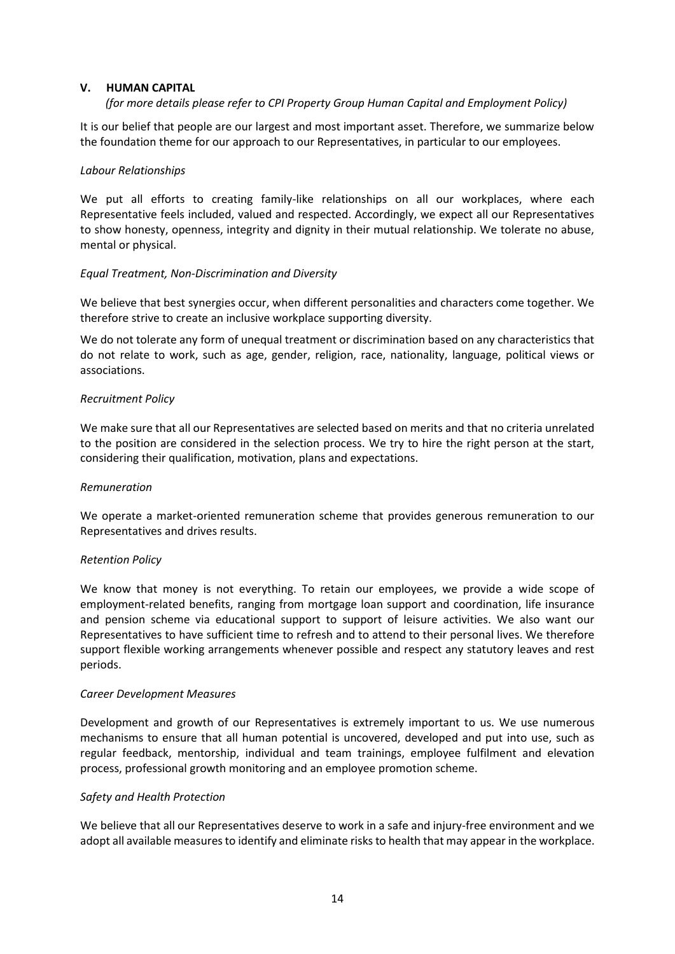### <span id="page-13-0"></span>**V. HUMAN CAPITAL**

### *(for more details please refer to CPI Property Group Human Capital and Employment Policy)*

It is our belief that people are our largest and most important asset. Therefore, we summarize below the foundation theme for our approach to our Representatives, in particular to our employees.

### *Labour Relationships*

We put all efforts to creating family-like relationships on all our workplaces, where each Representative feels included, valued and respected. Accordingly, we expect all our Representatives to show honesty, openness, integrity and dignity in their mutual relationship. We tolerate no abuse, mental or physical.

### *Equal Treatment, Non-Discrimination and Diversity*

We believe that best synergies occur, when different personalities and characters come together. We therefore strive to create an inclusive workplace supporting diversity.

We do not tolerate any form of unequal treatment or discrimination based on any characteristics that do not relate to work, such as age, gender, religion, race, nationality, language, political views or associations.

### *Recruitment Policy*

We make sure that all our Representatives are selected based on merits and that no criteria unrelated to the position are considered in the selection process. We try to hire the right person at the start, considering their qualification, motivation, plans and expectations.

### *Remuneration*

We operate a market-oriented remuneration scheme that provides generous remuneration to our Representatives and drives results.

### *Retention Policy*

We know that money is not everything. To retain our employees, we provide a wide scope of employment-related benefits, ranging from mortgage loan support and coordination, life insurance and pension scheme via educational support to support of leisure activities. We also want our Representatives to have sufficient time to refresh and to attend to their personal lives. We therefore support flexible working arrangements whenever possible and respect any statutory leaves and rest periods.

#### *Career Development Measures*

Development and growth of our Representatives is extremely important to us. We use numerous mechanisms to ensure that all human potential is uncovered, developed and put into use, such as regular feedback, mentorship, individual and team trainings, employee fulfilment and elevation process, professional growth monitoring and an employee promotion scheme.

### *Safety and Health Protection*

We believe that all our Representatives deserve to work in a safe and injury-free environment and we adopt all available measures to identify and eliminate risks to health that may appear in the workplace.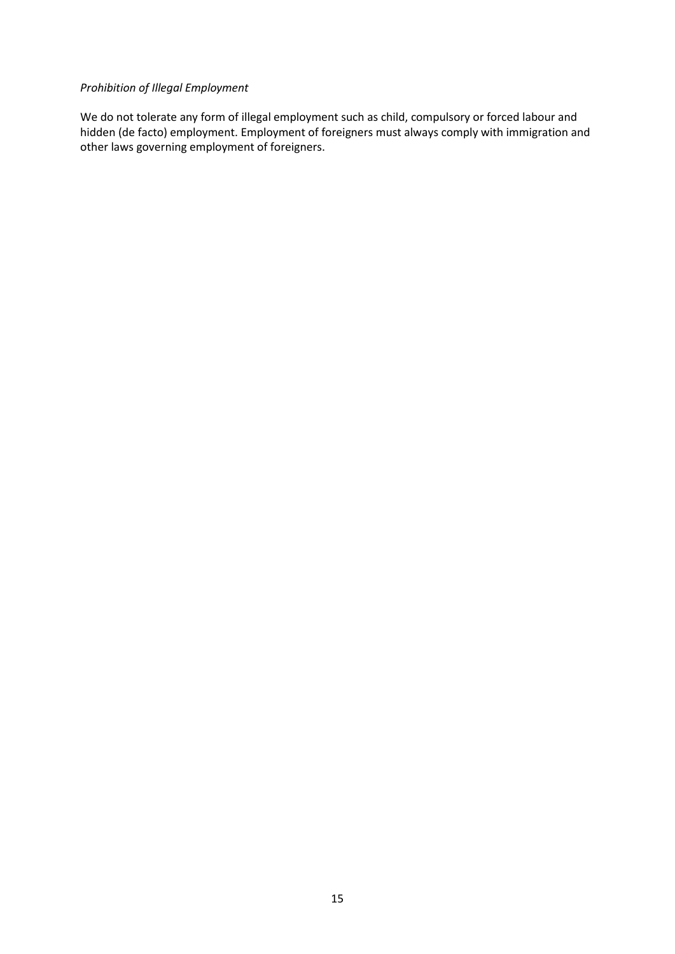### *Prohibition of Illegal Employment*

We do not tolerate any form of illegal employment such as child, compulsory or forced labour and hidden (de facto) employment. Employment of foreigners must always comply with immigration and other laws governing employment of foreigners.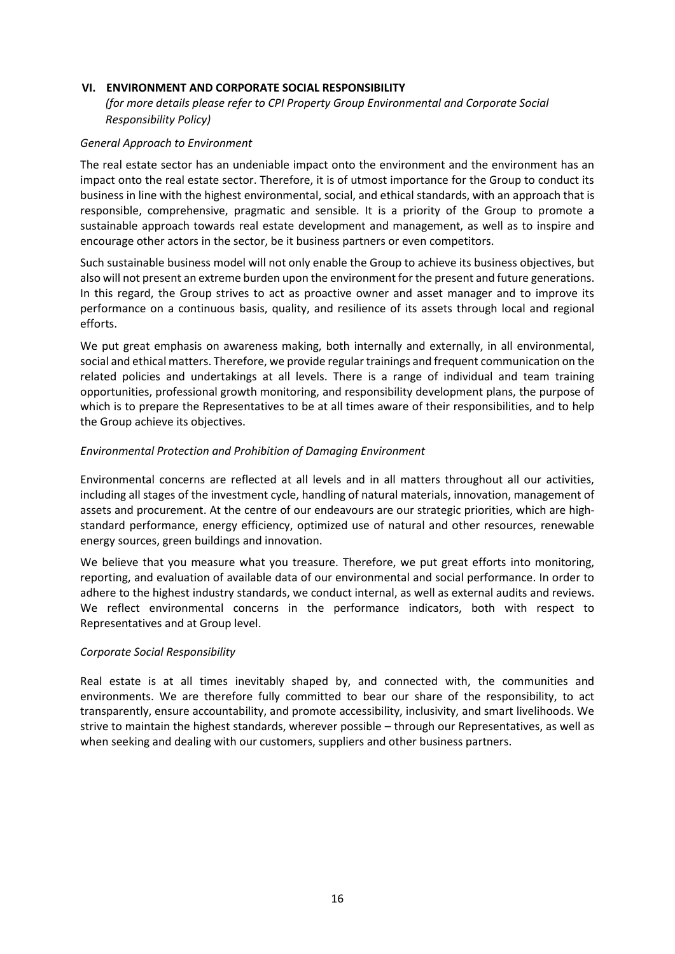### <span id="page-15-0"></span>**VI. ENVIRONMENT AND CORPORATE SOCIAL RESPONSIBILITY**

### *(for more details please refer to CPI Property Group Environmental and Corporate Social Responsibility Policy)*

#### *General Approach to Environment*

The real estate sector has an undeniable impact onto the environment and the environment has an impact onto the real estate sector. Therefore, it is of utmost importance for the Group to conduct its business in line with the highest environmental, social, and ethical standards, with an approach that is responsible, comprehensive, pragmatic and sensible. It is a priority of the Group to promote a sustainable approach towards real estate development and management, as well as to inspire and encourage other actors in the sector, be it business partners or even competitors.

Such sustainable business model will not only enable the Group to achieve its business objectives, but also will not present an extreme burden upon the environment for the present and future generations. In this regard, the Group strives to act as proactive owner and asset manager and to improve its performance on a continuous basis, quality, and resilience of its assets through local and regional efforts.

We put great emphasis on awareness making, both internally and externally, in all environmental, social and ethical matters. Therefore, we provide regular trainings and frequent communication on the related policies and undertakings at all levels. There is a range of individual and team training opportunities, professional growth monitoring, and responsibility development plans, the purpose of which is to prepare the Representatives to be at all times aware of their responsibilities, and to help the Group achieve its objectives.

### *Environmental Protection and Prohibition of Damaging Environment*

Environmental concerns are reflected at all levels and in all matters throughout all our activities, including all stages of the investment cycle, handling of natural materials, innovation, management of assets and procurement. At the centre of our endeavours are our strategic priorities, which are highstandard performance, energy efficiency, optimized use of natural and other resources, renewable energy sources, green buildings and innovation.

We believe that you measure what you treasure. Therefore, we put great efforts into monitoring, reporting, and evaluation of available data of our environmental and social performance. In order to adhere to the highest industry standards, we conduct internal, as well as external audits and reviews. We reflect environmental concerns in the performance indicators, both with respect to Representatives and at Group level.

### *Corporate Social Responsibility*

Real estate is at all times inevitably shaped by, and connected with, the communities and environments. We are therefore fully committed to bear our share of the responsibility, to act transparently, ensure accountability, and promote accessibility, inclusivity, and smart livelihoods. We strive to maintain the highest standards, wherever possible – through our Representatives, as well as when seeking and dealing with our customers, suppliers and other business partners.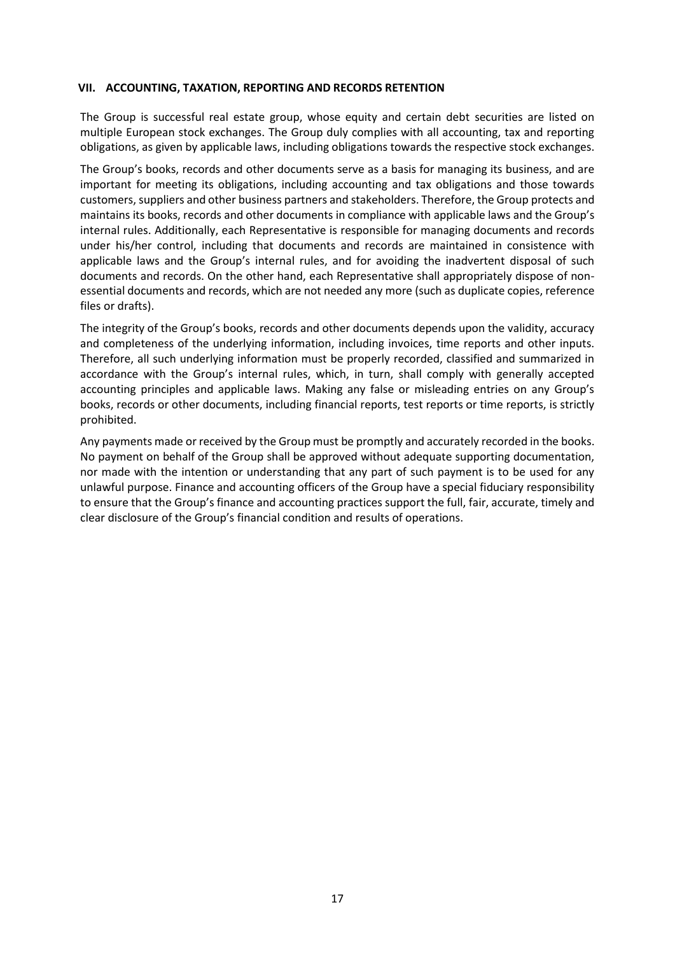### <span id="page-16-0"></span>**VII. ACCOUNTING, TAXATION, REPORTING AND RECORDS RETENTION**

The Group is successful real estate group, whose equity and certain debt securities are listed on multiple European stock exchanges. The Group duly complies with all accounting, tax and reporting obligations, as given by applicable laws, including obligations towards the respective stock exchanges.

The Group's books, records and other documents serve as a basis for managing its business, and are important for meeting its obligations, including accounting and tax obligations and those towards customers, suppliers and other business partners and stakeholders. Therefore, the Group protects and maintains its books, records and other documents in compliance with applicable laws and the Group's internal rules. Additionally, each Representative is responsible for managing documents and records under his/her control, including that documents and records are maintained in consistence with applicable laws and the Group's internal rules, and for avoiding the inadvertent disposal of such documents and records. On the other hand, each Representative shall appropriately dispose of nonessential documents and records, which are not needed any more (such as duplicate copies, reference files or drafts).

The integrity of the Group's books, records and other documents depends upon the validity, accuracy and completeness of the underlying information, including invoices, time reports and other inputs. Therefore, all such underlying information must be properly recorded, classified and summarized in accordance with the Group's internal rules, which, in turn, shall comply with generally accepted accounting principles and applicable laws. Making any false or misleading entries on any Group's books, records or other documents, including financial reports, test reports or time reports, is strictly prohibited.

Any payments made or received by the Group must be promptly and accurately recorded in the books. No payment on behalf of the Group shall be approved without adequate supporting documentation, nor made with the intention or understanding that any part of such payment is to be used for any unlawful purpose. Finance and accounting officers of the Group have a special fiduciary responsibility to ensure that the Group's finance and accounting practices support the full, fair, accurate, timely and clear disclosure of the Group's financial condition and results of operations.